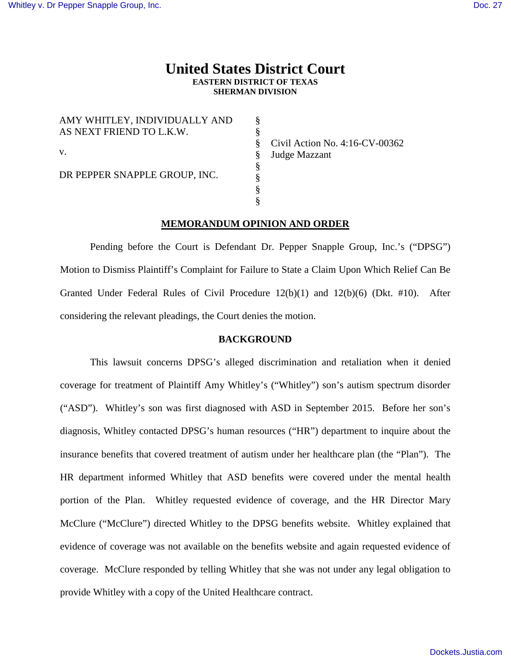# **United States District Court EASTERN DISTRICT OF TEXAS SHERMAN DIVISION**

§ § § § § § § §

| AMY WHITLEY, INDIVIDUALLY AND<br>AS NEXT FRIEND TO L.K.W. |  |
|-----------------------------------------------------------|--|
| V.                                                        |  |
| DR PEPPER SNAPPLE GROUP, INC.                             |  |

Civil Action No. 4:16-CV-00362 Judge Mazzant

# **MEMORANDUM OPINION AND ORDER**

Pending before the Court is Defendant Dr. Pepper Snapple Group, Inc.'s ("DPSG") Motion to Dismiss Plaintiff's Complaint for Failure to State a Claim Upon Which Relief Can Be Granted Under Federal Rules of Civil Procedure 12(b)(1) and 12(b)(6) (Dkt. #10). After considering the relevant pleadings, the Court denies the motion.

# **BACKGROUND**

This lawsuit concerns DPSG's alleged discrimination and retaliation when it denied coverage for treatment of Plaintiff Amy Whitley's ("Whitley") son's autism spectrum disorder ("ASD"). Whitley's son was first diagnosed with ASD in September 2015. Before her son's diagnosis, Whitley contacted DPSG's human resources ("HR") department to inquire about the insurance benefits that covered treatment of autism under her healthcare plan (the "Plan"). The HR department informed Whitley that ASD benefits were covered under the mental health portion of the Plan. Whitley requested evidence of coverage, and the HR Director Mary McClure ("McClure") directed Whitley to the DPSG benefits website. Whitley explained that evidence of coverage was not available on the benefits website and again requested evidence of coverage. McClure responded by telling Whitley that she was not under any legal obligation to provide Whitley with a copy of the United Healthcare contract.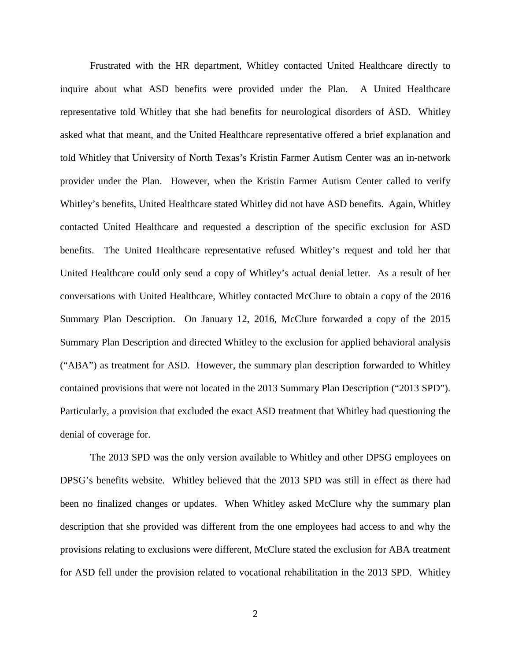Frustrated with the HR department, Whitley contacted United Healthcare directly to inquire about what ASD benefits were provided under the Plan. A United Healthcare representative told Whitley that she had benefits for neurological disorders of ASD. Whitley asked what that meant, and the United Healthcare representative offered a brief explanation and told Whitley that University of North Texas's Kristin Farmer Autism Center was an in-network provider under the Plan. However, when the Kristin Farmer Autism Center called to verify Whitley's benefits, United Healthcare stated Whitley did not have ASD benefits. Again, Whitley contacted United Healthcare and requested a description of the specific exclusion for ASD benefits. The United Healthcare representative refused Whitley's request and told her that United Healthcare could only send a copy of Whitley's actual denial letter. As a result of her conversations with United Healthcare, Whitley contacted McClure to obtain a copy of the 2016 Summary Plan Description. On January 12, 2016, McClure forwarded a copy of the 2015 Summary Plan Description and directed Whitley to the exclusion for applied behavioral analysis ("ABA") as treatment for ASD. However, the summary plan description forwarded to Whitley contained provisions that were not located in the 2013 Summary Plan Description ("2013 SPD"). Particularly, a provision that excluded the exact ASD treatment that Whitley had questioning the denial of coverage for.

The 2013 SPD was the only version available to Whitley and other DPSG employees on DPSG's benefits website. Whitley believed that the 2013 SPD was still in effect as there had been no finalized changes or updates. When Whitley asked McClure why the summary plan description that she provided was different from the one employees had access to and why the provisions relating to exclusions were different, McClure stated the exclusion for ABA treatment for ASD fell under the provision related to vocational rehabilitation in the 2013 SPD. Whitley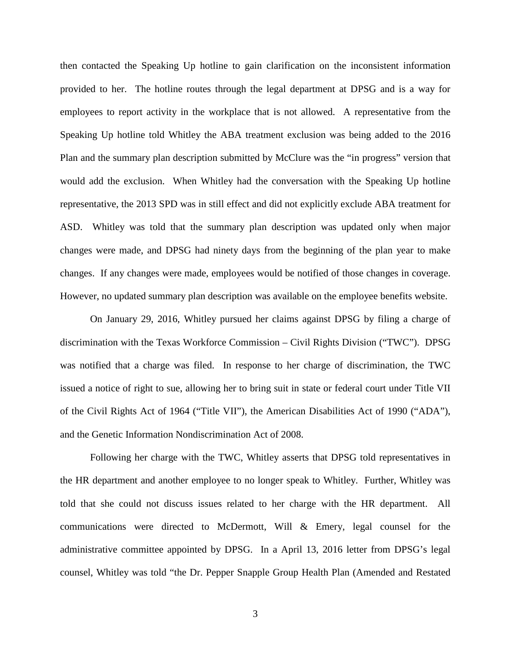then contacted the Speaking Up hotline to gain clarification on the inconsistent information provided to her. The hotline routes through the legal department at DPSG and is a way for employees to report activity in the workplace that is not allowed. A representative from the Speaking Up hotline told Whitley the ABA treatment exclusion was being added to the 2016 Plan and the summary plan description submitted by McClure was the "in progress" version that would add the exclusion. When Whitley had the conversation with the Speaking Up hotline representative, the 2013 SPD was in still effect and did not explicitly exclude ABA treatment for ASD. Whitley was told that the summary plan description was updated only when major changes were made, and DPSG had ninety days from the beginning of the plan year to make changes. If any changes were made, employees would be notified of those changes in coverage. However, no updated summary plan description was available on the employee benefits website.

On January 29, 2016, Whitley pursued her claims against DPSG by filing a charge of discrimination with the Texas Workforce Commission – Civil Rights Division ("TWC"). DPSG was notified that a charge was filed. In response to her charge of discrimination, the TWC issued a notice of right to sue, allowing her to bring suit in state or federal court under Title VII of the Civil Rights Act of 1964 ("Title VII"), the American Disabilities Act of 1990 ("ADA"), and the Genetic Information Nondiscrimination Act of 2008.

Following her charge with the TWC, Whitley asserts that DPSG told representatives in the HR department and another employee to no longer speak to Whitley. Further, Whitley was told that she could not discuss issues related to her charge with the HR department. All communications were directed to McDermott, Will & Emery, legal counsel for the administrative committee appointed by DPSG. In a April 13, 2016 letter from DPSG's legal counsel, Whitley was told "the Dr. Pepper Snapple Group Health Plan (Amended and Restated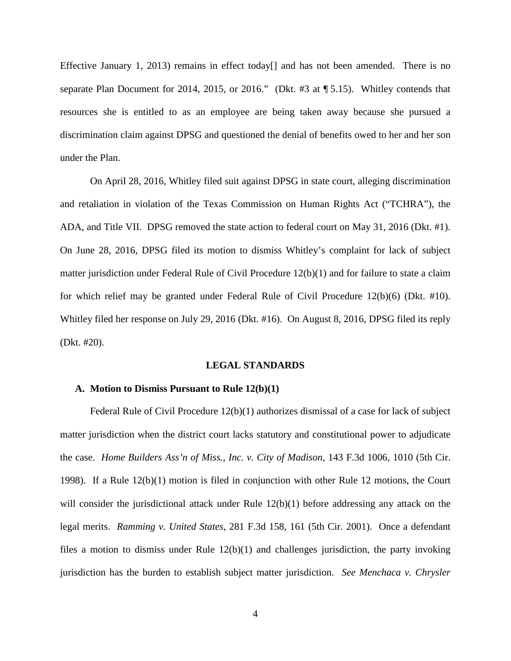Effective January 1, 2013) remains in effect today<sup>[]</sup> and has not been amended. There is no separate Plan Document for 2014, 2015, or 2016." (Dkt. #3 at ¶ 5.15). Whitley contends that resources she is entitled to as an employee are being taken away because she pursued a discrimination claim against DPSG and questioned the denial of benefits owed to her and her son under the Plan.

On April 28, 2016, Whitley filed suit against DPSG in state court, alleging discrimination and retaliation in violation of the Texas Commission on Human Rights Act ("TCHRA"), the ADA, and Title VII. DPSG removed the state action to federal court on May 31, 2016 (Dkt. #1). On June 28, 2016, DPSG filed its motion to dismiss Whitley's complaint for lack of subject matter jurisdiction under Federal Rule of Civil Procedure 12(b)(1) and for failure to state a claim for which relief may be granted under Federal Rule of Civil Procedure 12(b)(6) (Dkt. #10). Whitley filed her response on July 29, 2016 (Dkt. #16). On August 8, 2016, DPSG filed its reply (Dkt. #20).

## **LEGAL STANDARDS**

# **A. Motion to Dismiss Pursuant to Rule 12(b)(1)**

Federal Rule of Civil Procedure 12(b)(1) authorizes dismissal of a case for lack of subject matter jurisdiction when the district court lacks statutory and constitutional power to adjudicate the case. *Home Builders Ass'n of Miss., Inc. v. City of Madison*, 143 F.3d 1006, 1010 (5th Cir. 1998). If a Rule 12(b)(1) motion is filed in conjunction with other Rule 12 motions, the Court will consider the jurisdictional attack under Rule  $12(b)(1)$  before addressing any attack on the legal merits. *Ramming v. United States*, 281 F.3d 158, 161 (5th Cir. 2001). Once a defendant files a motion to dismiss under Rule  $12(b)(1)$  and challenges jurisdiction, the party invoking jurisdiction has the burden to establish subject matter jurisdiction. *See Menchaca v. Chrysler*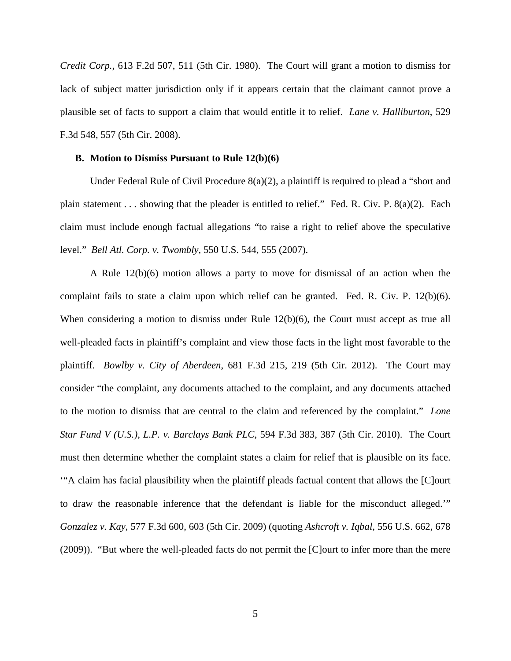*Credit Corp.*, 613 F.2d 507, 511 (5th Cir. 1980). The Court will grant a motion to dismiss for lack of subject matter jurisdiction only if it appears certain that the claimant cannot prove a plausible set of facts to support a claim that would entitle it to relief. *Lane v. Halliburton*, 529 F.3d 548, 557 (5th Cir. 2008).

## **B. Motion to Dismiss Pursuant to Rule 12(b)(6)**

 Under Federal Rule of Civil Procedure 8(a)(2), a plaintiff is required to plead a "short and plain statement . . . showing that the pleader is entitled to relief." Fed. R. Civ. P. 8(a)(2). Each claim must include enough factual allegations "to raise a right to relief above the speculative level." *Bell Atl. Corp. v. Twombly*, 550 U.S. 544, 555 (2007).

A Rule 12(b)(6) motion allows a party to move for dismissal of an action when the complaint fails to state a claim upon which relief can be granted. Fed. R. Civ. P. 12(b)(6). When considering a motion to dismiss under Rule 12(b)(6), the Court must accept as true all well-pleaded facts in plaintiff's complaint and view those facts in the light most favorable to the plaintiff. *Bowlby v. City of Aberdeen*, 681 F.3d 215, 219 (5th Cir. 2012). The Court may consider "the complaint, any documents attached to the complaint, and any documents attached to the motion to dismiss that are central to the claim and referenced by the complaint." *Lone Star Fund V (U.S.), L.P. v. Barclays Bank PLC*, 594 F.3d 383, 387 (5th Cir. 2010). The Court must then determine whether the complaint states a claim for relief that is plausible on its face. '"A claim has facial plausibility when the plaintiff pleads factual content that allows the [C]ourt to draw the reasonable inference that the defendant is liable for the misconduct alleged.'" *Gonzalez v. Kay*, 577 F.3d 600, 603 (5th Cir. 2009) (quoting *Ashcroft v. Iqbal*, 556 U.S. 662, 678 (2009)). "But where the well-pleaded facts do not permit the [C]ourt to infer more than the mere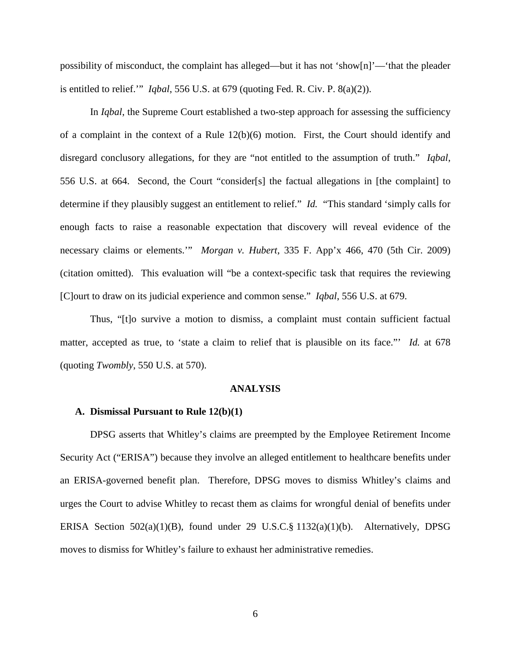possibility of misconduct, the complaint has alleged—but it has not 'show[n]'—'that the pleader is entitled to relief.'" *Iqbal*, 556 U.S. at 679 (quoting Fed. R. Civ. P. 8(a)(2)).

In *Iqbal*, the Supreme Court established a two-step approach for assessing the sufficiency of a complaint in the context of a Rule  $12(b)(6)$  motion. First, the Court should identify and disregard conclusory allegations, for they are "not entitled to the assumption of truth." *Iqbal*, 556 U.S. at 664. Second, the Court "consider[s] the factual allegations in [the complaint] to determine if they plausibly suggest an entitlement to relief." *Id.* "This standard 'simply calls for enough facts to raise a reasonable expectation that discovery will reveal evidence of the necessary claims or elements.'" *Morgan v. Hubert*, 335 F. App'x 466, 470 (5th Cir. 2009) (citation omitted). This evaluation will "be a context-specific task that requires the reviewing [C]ourt to draw on its judicial experience and common sense." *Iqbal*, 556 U.S. at 679.

Thus, "[t]o survive a motion to dismiss, a complaint must contain sufficient factual matter, accepted as true, to 'state a claim to relief that is plausible on its face."' *Id.* at 678 (quoting *Twombly*, 550 U.S. at 570).

## **ANALYSIS**

## **A. Dismissal Pursuant to Rule 12(b)(1)**

DPSG asserts that Whitley's claims are preempted by the Employee Retirement Income Security Act ("ERISA") because they involve an alleged entitlement to healthcare benefits under an ERISA-governed benefit plan. Therefore, DPSG moves to dismiss Whitley's claims and urges the Court to advise Whitley to recast them as claims for wrongful denial of benefits under ERISA Section 502(a)(1)(B), found under 29 U.S.C.§ 1132(a)(1)(b). Alternatively, DPSG moves to dismiss for Whitley's failure to exhaust her administrative remedies.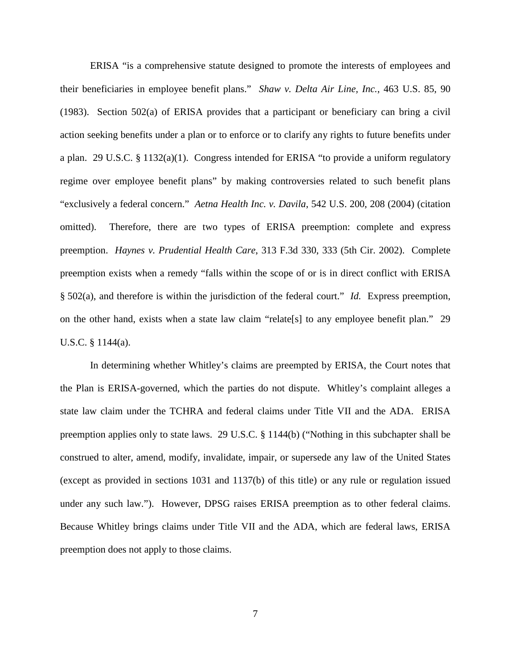ERISA "is a comprehensive statute designed to promote the interests of employees and their beneficiaries in employee benefit plans." *Shaw v. Delta Air Line, Inc.*, 463 U.S. 85, 90 (1983). Section 502(a) of ERISA provides that a participant or beneficiary can bring a civil action seeking benefits under a plan or to enforce or to clarify any rights to future benefits under a plan. 29 U.S.C. § 1132(a)(1). Congress intended for ERISA "to provide a uniform regulatory regime over employee benefit plans" by making controversies related to such benefit plans "exclusively a federal concern." *Aetna Health Inc. v. Davila*, 542 U.S. 200, 208 (2004) (citation omitted). Therefore, there are two types of ERISA preemption: complete and express preemption. *Haynes v. Prudential Health Care*, 313 F.3d 330, 333 (5th Cir. 2002). Complete preemption exists when a remedy "falls within the scope of or is in direct conflict with ERISA § 502(a), and therefore is within the jurisdiction of the federal court." *Id.* Express preemption, on the other hand, exists when a state law claim "relate[s] to any employee benefit plan." 29 U.S.C. § 1144(a).

In determining whether Whitley's claims are preempted by ERISA, the Court notes that the Plan is ERISA-governed, which the parties do not dispute. Whitley's complaint alleges a state law claim under the TCHRA and federal claims under Title VII and the ADA. ERISA preemption applies only to state laws. 29 U.S.C. § 1144(b) ("Nothing in this subchapter shall be construed to alter, amend, modify, invalidate, impair, or supersede any law of the United States (except as provided in sections 1031 and 1137(b) of this title) or any rule or regulation issued under any such law."). However, DPSG raises ERISA preemption as to other federal claims. Because Whitley brings claims under Title VII and the ADA, which are federal laws, ERISA preemption does not apply to those claims.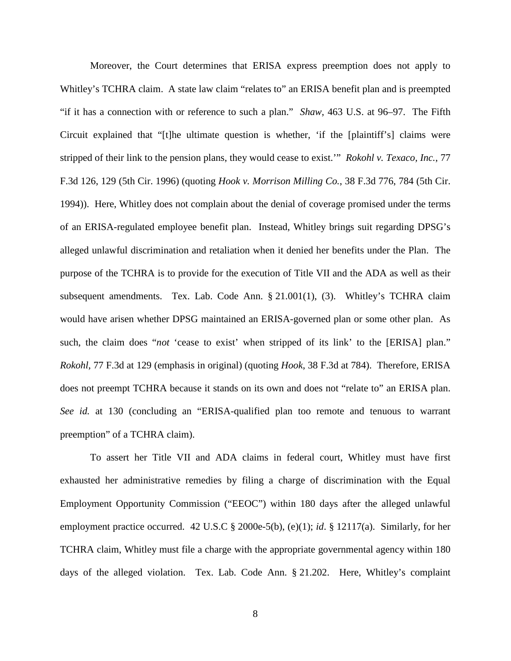Moreover, the Court determines that ERISA express preemption does not apply to Whitley's TCHRA claim. A state law claim "relates to" an ERISA benefit plan and is preempted "if it has a connection with or reference to such a plan." *Shaw*, 463 U.S. at 96–97. The Fifth Circuit explained that "[t]he ultimate question is whether, 'if the [plaintiff's] claims were stripped of their link to the pension plans, they would cease to exist.'" *Rokohl v. Texaco, Inc.*, 77 F.3d 126, 129 (5th Cir. 1996) (quoting *Hook v. Morrison Milling Co.*, 38 F.3d 776, 784 (5th Cir. 1994)). Here, Whitley does not complain about the denial of coverage promised under the terms of an ERISA-regulated employee benefit plan. Instead, Whitley brings suit regarding DPSG's alleged unlawful discrimination and retaliation when it denied her benefits under the Plan. The purpose of the TCHRA is to provide for the execution of Title VII and the ADA as well as their subsequent amendments. Tex. Lab. Code Ann. § 21.001(1), (3). Whitley's TCHRA claim would have arisen whether DPSG maintained an ERISA-governed plan or some other plan. As such, the claim does "*not* 'cease to exist' when stripped of its link' to the [ERISA] plan." *Rokohl*, 77 F.3d at 129 (emphasis in original) (quoting *Hook*, 38 F.3d at 784). Therefore, ERISA does not preempt TCHRA because it stands on its own and does not "relate to" an ERISA plan. *See id.* at 130 (concluding an "ERISA-qualified plan too remote and tenuous to warrant preemption" of a TCHRA claim).

To assert her Title VII and ADA claims in federal court, Whitley must have first exhausted her administrative remedies by filing a charge of discrimination with the Equal Employment Opportunity Commission ("EEOC") within 180 days after the alleged unlawful employment practice occurred. 42 U.S.C § 2000e-5(b), (e)(1); *id*. § 12117(a). Similarly, for her TCHRA claim, Whitley must file a charge with the appropriate governmental agency within 180 days of the alleged violation. Tex. Lab. Code Ann. § 21.202. Here, Whitley's complaint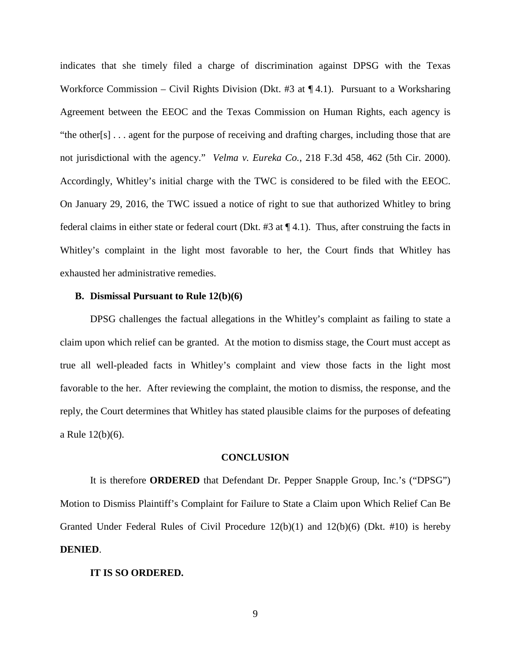indicates that she timely filed a charge of discrimination against DPSG with the Texas Workforce Commission – Civil Rights Division (Dkt. #3 at ¶ 4.1). Pursuant to a Worksharing Agreement between the EEOC and the Texas Commission on Human Rights, each agency is "the other[s] . . . agent for the purpose of receiving and drafting charges, including those that are not jurisdictional with the agency." *Velma v. Eureka Co.*, 218 F.3d 458, 462 (5th Cir. 2000). Accordingly, Whitley's initial charge with the TWC is considered to be filed with the EEOC. On January 29, 2016, the TWC issued a notice of right to sue that authorized Whitley to bring federal claims in either state or federal court (Dkt. #3 at ¶ 4.1). Thus, after construing the facts in Whitley's complaint in the light most favorable to her, the Court finds that Whitley has exhausted her administrative remedies.

# **B. Dismissal Pursuant to Rule 12(b)(6)**

DPSG challenges the factual allegations in the Whitley's complaint as failing to state a claim upon which relief can be granted. At the motion to dismiss stage, the Court must accept as true all well-pleaded facts in Whitley's complaint and view those facts in the light most favorable to the her. After reviewing the complaint, the motion to dismiss, the response, and the reply, the Court determines that Whitley has stated plausible claims for the purposes of defeating a Rule 12(b)(6).

### **CONCLUSION**

It is therefore **ORDERED** that Defendant Dr. Pepper Snapple Group, Inc.'s ("DPSG") Motion to Dismiss Plaintiff's Complaint for Failure to State a Claim upon Which Relief Can Be Granted Under Federal Rules of Civil Procedure 12(b)(1) and 12(b)(6) (Dkt. #10) is hereby **DENIED**.

### **IT IS SO ORDERED.**